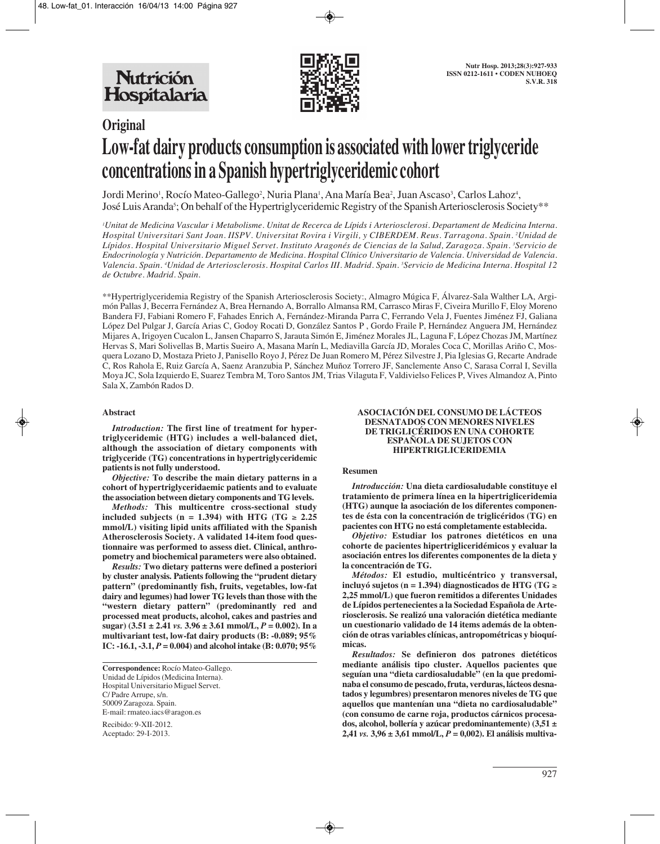

# **Original Low-fat dairy products consumption is associated with lower triglyceride concentrations in a Spanish hypertriglyceridemic cohort**

Jordi Merino<sup>1</sup>, Rocío Mateo-Gallego<sup>2</sup>, Nuria Plana<sup>1</sup>, Ana María Bea<sup>2</sup>, Juan Ascaso<sup>3</sup>, Carlos Lahoz<sup>4</sup>, José Luis Aranda5 ; On behalf of the Hypertriglyceridemic Registry of the Spanish Arteriosclerosis Society\*\*

*1 Unitat de Medicina Vascular i Metabolisme. Unitat de Recerca de Lípids i Arteriosclerosi. Departament de Medicina Interna. Hospital Universitari Sant Joan. IISPV. Universitat Rovira i Virgili, y CIBERDEM. Reus. Tarragona. Spain. 2 Unidad de Lípidos. Hospital Universitario Miguel Servet. Instituto Aragonés de Ciencias de la Salud, Zaragoza. Spain. 3 Servicio de Endocrinología y Nutrición. Departamento de Medicina. Hospital Clínico Universitario de Valencia. Universidad de Valencia. Valencia. Spain. 4 Unidad de Arteriosclerosis. Hospital Carlos III. Madrid. Spain. 5 Servicio de Medicina Interna. Hospital 12 de Octubre. Madrid. Spain.*

\*\*Hypertriglyceridemia Registry of the Spanish Arteriosclerosis Society:, Almagro Múgica F, Álvarez-Sala Walther LA, Argimón Pallas J, Becerra Fernández A, Brea Hernando A, Borrallo Almansa RM, Carrasco Miras F, Civeira Murillo F, Eloy Moreno Bandera FJ, Fabiani Romero F, Fahades Enrich A, Fernández-Miranda Parra C, Ferrando Vela J, Fuentes Jiménez FJ, Galiana López Del Pulgar J, García Arias C, Godoy Rocati D, González Santos P , Gordo Fraile P, Hernández Anguera JM, Hernández Mijares A, Irigoyen Cucalon L, Jansen Chaparro S, Jarauta Simón E, Jiménez Morales JL, Laguna F, López Chozas JM, Martínez Hervas S, Mari Solivellas B, Martis Sueiro A, Masana Marín L, Mediavilla García JD, Morales Coca C, Morillas Ariño C, Mosquera Lozano D, Mostaza Prieto J, Panisello Royo J, Pérez De Juan Romero M, Pérez Silvestre J, Pia Iglesias G, Recarte Andrade C, Ros Rahola E, Ruiz García A, Saenz Aranzubia P, Sánchez Muñoz Torrero JF, Sanclemente Anso C, Sarasa Corral I, Sevilla Moya JC, Sola Izquierdo E, Suarez Tembra M, Toro Santos JM, Trias Vilaguta F, Valdivielso Felices P, Vives Almandoz A, Pinto Sala X, Zambón Rados D.

### **Abstract**

*Introduction:* **The first line of treatment for hypertriglyceridemic (HTG) includes a well-balanced diet, although the association of dietary components with triglyceride (TG) concentrations in hypertriglyceridemic patients is not fully understood.** 

*Objective:* **To describe the main dietary patterns in a cohort of hypertriglyceridaemic patients and to evaluate the association between dietary components and TG levels.** 

*Methods:* **This multicentre cross-sectional study included subjects (n = 1.394) with HTG (TG** ≥ **2.25 mmol/L) visiting lipid units affiliated with the Spanish Atherosclerosis Society. A validated 14-item food questionnaire was performed to assess diet. Clinical, anthropometry and biochemical parameters were also obtained.** 

*Results:* **Two dietary patterns were defined a posteriori by cluster analysis. Patients following the "prudent dietary pattern" (predominantly fish, fruits, vegetables, low-fat dairy and legumes) had lower TG levels than those with the "western dietary pattern" (predominantly red and processed meat products, alcohol, cakes and pastries and sugar**)  $(3.51 \pm 2.41 \text{ vs. } 3.96 \pm 3.61 \text{ mmol/L}, P = 0.002)$ . In a **multivariant test, low-fat dairy products (B: -0.089; 95% IC: -16.1, -3.1,** *P* **= 0.004) and alcohol intake (B: 0.070; 95%**

Recibido: 9-XII-2012. Aceptado: 29-I-2013.

#### **ASOCIACIÓN DEL CONSUMO DE LÁCTEOS DESNATADOS CON MENORES NIVELES DE TRIGLICÉRIDOS EN UNA COHORTE ESPAÑOLA DE SUJETOS CON HIPERTRIGLICERIDEMIA**

#### **Resumen**

*Introducción:* **Una dieta cardiosaludable constituye el tratamiento de primera línea en la hipertrigliceridemia (HTG) aunque la asociación de los diferentes componentes de ésta con la concentración de triglicéridos (TG) en pacientes con HTG no está completamente establecida.** 

*Objetivo:* **Estudiar los patrones dietéticos en una cohorte de pacientes hipertrigliceridémicos y evaluar la asociación entres los diferentes componentes de la dieta y la concentración de TG.** 

*Métodos:* **El estudio, multicéntrico y transversal, incluyó sujetos (n = 1.394) diagnosticados de HTG (TG** ≥ **2,25 mmol/L) que fueron remitidos a diferentes Unidades de Lípidos pertenecientes a la Sociedad Española de Arteriosclerosis. Se realizó una valoración dietética mediante un cuestionario validado de 14 items además de la obtención de otras variables clínicas, antropométricas y bioquímicas.** 

*Resultados:* **Se definieron dos patrones dietéticos mediante análisis tipo cluster. Aquellos pacientes que seguían una "dieta cardiosaludable" (en la que predominaba el consumo de pescado, fruta, verduras, lácteos desnatados y legumbres) presentaron menores niveles de TG que aquellos que mantenían una "dieta no cardiosaludable" (con consumo de carne roja, productos cárnicos procesados, alcohol, bollería y azúcar predominantemente) (3,51 ± 2,41** *vs.* **3,96 ± 3,61 mmol/L,** *P* **= 0,002). El análisis multiva-**

**Correspondence:** Rocío Mateo-Gallego. Unidad de Lípidos (Medicina Interna). Hospital Universitario Miguel Servet. C/ Padre Arrupe, s/n. 50009 Zaragoza. Spain. E-mail: rmateo.iacs@aragon.es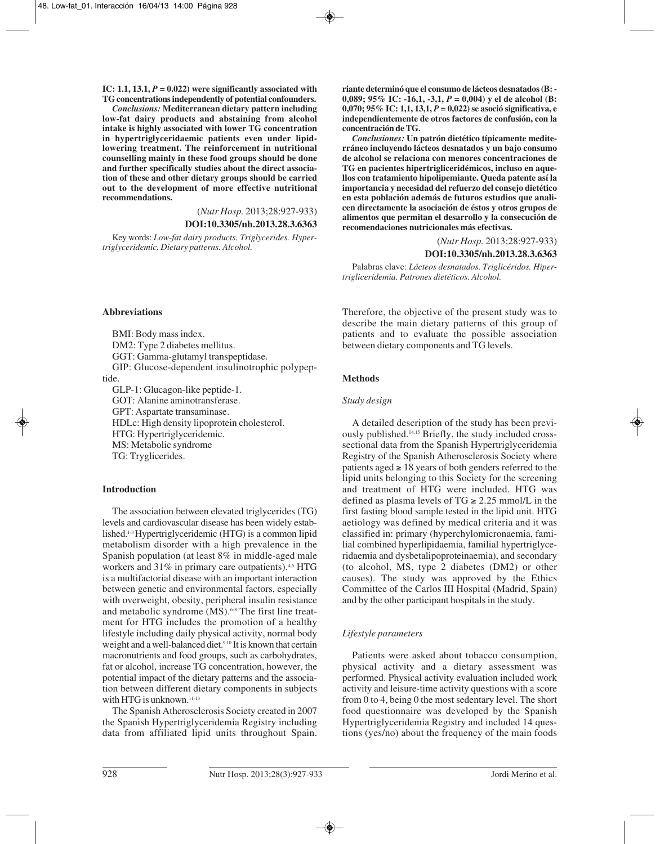IC: 1.1, 13.1,  $P = 0.022$  were significantly associated with **TG concentrations independently of potential confounders.** 

*Conclusions:* **Mediterranean dietary pattern including low-fat dairy products and abstaining from alcohol intake is highly associated with lower TG concentration in hypertriglyceridaemic patients even under lipidlowering treatment. The reinforcement in nutritional counselling mainly in these food groups should be done and further specifically studies about the direct association of these and other dietary groups should be carried out to the development of more effective nutritional recommendations.** 

(*Nutr Hosp.* 2013;28:927-933)

#### **DOI:10.3305/nh.2013.28.3.6363**

Key words: *Low-fat dairy products. Triglycerides. Hypertriglyceridemic. Dietary patterns. Alcohol.*

#### **Abbreviations**

BMI: Body mass index. DM2: Type 2 diabetes mellitus. GGT: Gamma-glutamyl transpeptidase. GIP: Glucose-dependent insulinotrophic polypeptide. GLP-1: Glucagon-like peptide-1. GOT: Alanine aminotransferase. GPT: Aspartate transaminase. HDLc: High density lipoprotein cholesterol.

HTG: Hypertriglyceridemic.

MS: Metabolic syndrome TG: Tryglicerides.

## **Introduction**

The association between elevated triglycerides (TG) levels and cardiovascular disease has been widely established.1-3 Hypertriglyceridemic (HTG) is a common lipid metabolism disorder with a high prevalence in the Spanish population (at least 8% in middle-aged male workers and  $31\%$  in primary care outpatients).<sup>4,5</sup> HTG is a multifactorial disease with an important interaction between genetic and environmental factors, especially with overweight, obesity, peripheral insulin resistance and metabolic syndrome (MS).<sup>6-8</sup> The first line treatment for HTG includes the promotion of a healthy lifestyle including daily physical activity, normal body weight and a well-balanced diet.<sup>9,10</sup> It is known that certain macronutrients and food groups, such as carbohydrates, fat or alcohol, increase TG concentration, however, the potential impact of the dietary patterns and the association between different dietary components in subjects with HTG is unknown.<sup>11-13</sup>

The Spanish Atherosclerosis Society created in 2007 the Spanish Hypertriglyceridemia Registry including data from affiliated lipid units throughout Spain. **riante determinó que el consumo de lácteos desnatados (B: - 0,089; 95% IC: -16,1, -3,1,** *P* **= 0,004) y el de alcohol (B: 0,070; 95% IC: 1,1, 13,1,** *P* **= 0,022) se asoció significativa, e independientemente de otros factores de confusión, con la concentración de TG.**

*Conclusiones:* **Un patrón dietético típicamente mediterráneo incluyendo lácteos desnatados y un bajo consumo de alcohol se relaciona con menores concentraciones de TG en pacientes hipertrigliceridémicos, incluso en aquellos con tratamiento hipolipemiante. Queda patente así la importancia y necesidad del refuerzo del consejo dietético en esta población además de futuros estudios que analicen directamente la asociación de éstos y otros grupos de alimentos que permitan el desarrollo y la consecución de recomendaciones nutricionales más efectivas.** 

(*Nutr Hosp.* 2013;28:927-933)

**DOI:10.3305/nh.2013.28.3.6363**

Palabras clave: *Lácteos desnatados. Triglicéridos. Hipertrigliceridemia. Patrones dietéticos. Alcohol.*

Therefore, the objective of the present study was to describe the main dietary patterns of this group of patients and to evaluate the possible association between dietary components and TG levels.

### **Methods**

#### *Study design*

A detailed description of the study has been previously published.14,15 Briefly, the study included crosssectional data from the Spanish Hypertriglyceridemia Registry of the Spanish Atherosclerosis Society where patients aged  $\geq 18$  years of both genders referred to the lipid units belonging to this Society for the screening and treatment of HTG were included. HTG was defined as plasma levels of  $TG \ge 2.25$  mmol/L in the first fasting blood sample tested in the lipid unit. HTG aetiology was defined by medical criteria and it was classified in: primary (hyperchylomicronaemia, familial combined hyperlipidaemia, familial hypertriglyceridaemia and dysbetalipoproteinaemia), and secondary (to alcohol, MS, type 2 diabetes (DM2) or other causes). The study was approved by the Ethics Committee of the Carlos III Hospital (Madrid, Spain) and by the other participant hospitals in the study.

#### *Lifestyle parameters*

Patients were asked about tobacco consumption, physical activity and a dietary assessment was performed. Physical activity evaluation included work activity and leisure-time activity questions with a score from 0 to 4, being 0 the most sedentary level. The short food questionnaire was developed by the Spanish Hypertriglyceridemia Registry and included 14 questions (yes/no) about the frequency of the main foods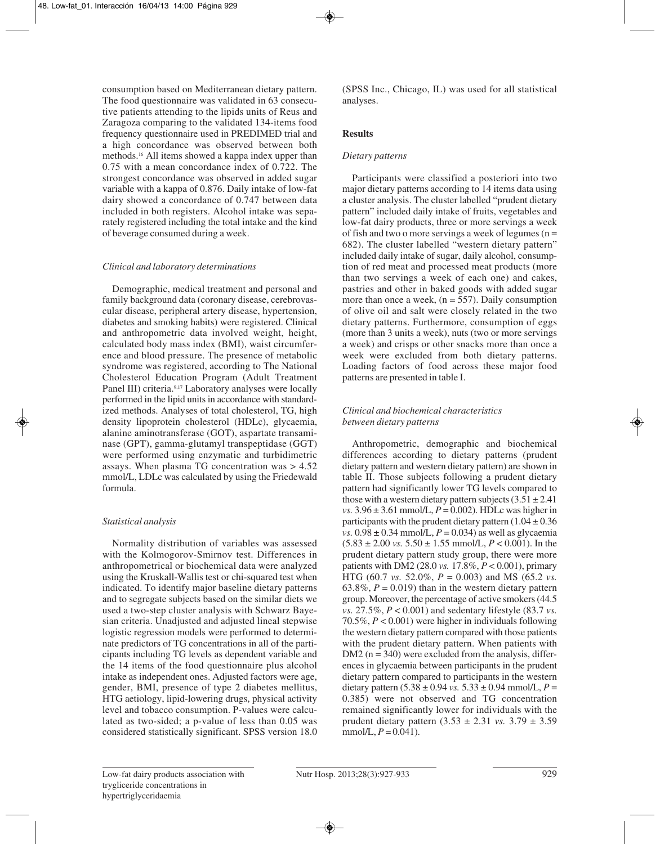consumption based on Mediterranean dietary pattern. The food questionnaire was validated in 63 consecutive patients attending to the lipids units of Reus and Zaragoza comparing to the validated 134-items food frequency questionnaire used in PREDIMED trial and a high concordance was observed between both methods.16 All items showed a kappa index upper than 0.75 with a mean concordance index of 0.722. The strongest concordance was observed in added sugar variable with a kappa of 0.876. Daily intake of low-fat dairy showed a concordance of 0.747 between data included in both registers. Alcohol intake was separately registered including the total intake and the kind of beverage consumed during a week.

## *Clinical and laboratory determinations*

Demographic, medical treatment and personal and family background data (coronary disease, cerebrovascular disease, peripheral artery disease, hypertension, diabetes and smoking habits) were registered. Clinical and anthropometric data involved weight, height, calculated body mass index (BMI), waist circumference and blood pressure. The presence of metabolic syndrome was registered, according to The National Cholesterol Education Program (Adult Treatment Panel III) criteria.<sup>9,17</sup> Laboratory analyses were locally performed in the lipid units in accordance with standardized methods. Analyses of total cholesterol, TG, high density lipoprotein cholesterol (HDLc), glycaemia, alanine aminotransferase (GOT), aspartate transaminase (GPT), gamma-glutamyl transpeptidase (GGT) were performed using enzymatic and turbidimetric assays. When plasma TG concentration was > 4.52 mmol/L, LDLc was calculated by using the Friedewald formula.

## *Statistical analysis*

Normality distribution of variables was assessed with the Kolmogorov-Smirnov test. Differences in anthropometrical or biochemical data were analyzed using the Kruskall-Wallis test or chi-squared test when indicated. To identify major baseline dietary patterns and to segregate subjects based on the similar diets we used a two-step cluster analysis with Schwarz Bayesian criteria. Unadjusted and adjusted lineal stepwise logistic regression models were performed to determinate predictors of TG concentrations in all of the participants including TG levels as dependent variable and the 14 items of the food questionnaire plus alcohol intake as independent ones. Adjusted factors were age, gender, BMI, presence of type 2 diabetes mellitus, HTG aetiology, lipid-lowering drugs, physical activity level and tobacco consumption. P-values were calculated as two-sided; a p-value of less than 0.05 was considered statistically significant. SPSS version 18.0

(SPSS Inc., Chicago, IL) was used for all statistical analyses.

## **Results**

## *Dietary patterns*

Participants were classified a posteriori into two major dietary patterns according to 14 items data using a cluster analysis. The cluster labelled "prudent dietary pattern" included daily intake of fruits, vegetables and low-fat dairy products, three or more servings a week of fish and two o more servings a week of legumes  $(n =$ 682). The cluster labelled "western dietary pattern" included daily intake of sugar, daily alcohol, consumption of red meat and processed meat products (more than two servings a week of each one) and cakes, pastries and other in baked goods with added sugar more than once a week,  $(n = 557)$ . Daily consumption of olive oil and salt were closely related in the two dietary patterns. Furthermore, consumption of eggs (more than 3 units a week), nuts (two or more servings a week) and crisps or other snacks more than once a week were excluded from both dietary patterns. Loading factors of food across these major food patterns are presented in table I.

## *Clinical and biochemical characteristics between dietary patterns*

Anthropometric, demographic and biochemical differences according to dietary patterns (prudent dietary pattern and western dietary pattern) are shown in table II. Those subjects following a prudent dietary pattern had significantly lower TG levels compared to those with a western dietary pattern subjects  $(3.51 \pm 2.41)$ *vs.*  $3.96 \pm 3.61$  mmol/L,  $P = 0.002$ ). HDLc was higher in participants with the prudent dietary pattern  $(1.04 \pm 0.36)$ *vs.*  $0.98 \pm 0.34$  mmol/L,  $P = 0.034$ ) as well as glycaemia  $(5.83 \pm 2.00 \text{ vs. } 5.50 \pm 1.55 \text{ mmol/L}, P < 0.001)$ . In the prudent dietary pattern study group, there were more patients with DM2 (28.0 *vs.* 17.8%, *P* < 0.001), primary HTG (60.7 *vs.* 52.0%, *P* = 0.003) and MS (65.2 *vs.* 63.8%,  $P = 0.019$ ) than in the western dietary pattern group. Moreover, the percentage of active smokers (44.5 *vs.* 27.5%, *P* < 0.001) and sedentary lifestyle (83.7 *vs.* 70.5%, *P* < 0.001) were higher in individuals following the western dietary pattern compared with those patients with the prudent dietary pattern. When patients with DM2 ( $n = 340$ ) were excluded from the analysis, differences in glycaemia between participants in the prudent dietary pattern compared to participants in the western dietary pattern  $(5.38 \pm 0.94 \text{ vs. } 5.33 \pm 0.94 \text{ mmol/L}, P =$ 0.385) were not observed and TG concentration remained significantly lower for individuals with the prudent dietary pattern (3.53 ± 2.31 *vs.* 3.79 ± 3.59 mmol/L,  $P = 0.041$ ).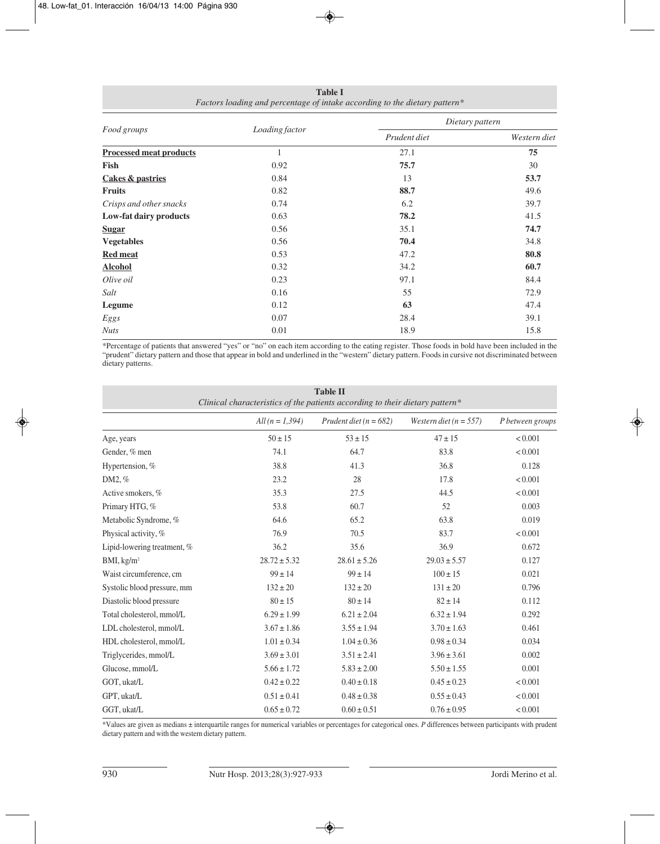| Food groups                    | Loading factor | Dietary pattern |              |  |
|--------------------------------|----------------|-----------------|--------------|--|
|                                |                | Prudent diet    | Western diet |  |
| <b>Processed meat products</b> |                | 27.1            | 75           |  |
| Fish                           | 0.92           | 75.7            | 30           |  |
| <b>Cakes &amp; pastries</b>    | 0.84           | 13              | 53.7         |  |
| <b>Fruits</b>                  | 0.82           | 88.7            | 49.6         |  |
| Crisps and other snacks        | 0.74           | 6.2             | 39.7         |  |
| Low-fat dairy products         | 0.63           | 78.2            | 41.5         |  |
| <b>Sugar</b>                   | 0.56           | 35.1            | 74.7         |  |
| <b>Vegetables</b>              | 0.56           | 70.4            | 34.8         |  |
| <b>Red meat</b>                | 0.53           | 47.2            | 80.8         |  |
| <b>Alcohol</b>                 | 0.32           | 34.2            | 60.7         |  |
| Olive oil                      | 0.23           | 97.1            | 84.4         |  |
| Salt                           | 0.16           | 55              | 72.9         |  |
| Legume                         | 0.12           | 63              | 47.4         |  |
| Eggs                           | 0.07           | 28.4            | 39.1         |  |
| <b>Nuts</b>                    | 0.01           | 18.9            | 15.8         |  |

**Table I** *Factors loading and percentage of intake according to the dietary pattern\**

\*Percentage of patients that answered "yes" or "no" on each item according to the eating register. Those foods in bold have been included in the "prudent" dietary pattern and those that appear in bold and underlined in the "western" dietary pattern. Foods in cursive not discriminated between dietary patterns.

| <b>Table II</b><br>Clinical characteristics of the patients according to their dietary pattern* |                   |                            |                            |                  |  |  |  |
|-------------------------------------------------------------------------------------------------|-------------------|----------------------------|----------------------------|------------------|--|--|--|
|                                                                                                 | $All(n = 1, 394)$ | Prudent diet ( $n = 682$ ) | Western diet ( $n = 557$ ) | P between groups |  |  |  |
| Age, years                                                                                      | $50 \pm 15$       | $53 \pm 15$                | $47 \pm 15$                | < 0.001          |  |  |  |
| Gender, % men                                                                                   | 74.1              | 64.7                       | 83.8                       | < 0.001          |  |  |  |
| Hypertension, %                                                                                 | 38.8              | 41.3                       | 36.8                       | 0.128            |  |  |  |
| DM2, %                                                                                          | 23.2              | 28                         | 17.8                       | < 0.001          |  |  |  |
| Active smokers, %                                                                               | 35.3              | 27.5                       | 44.5                       | < 0.001          |  |  |  |
| Primary HTG, %                                                                                  | 53.8              | 60.7                       | 52                         | 0.003            |  |  |  |
| Metabolic Syndrome, %                                                                           | 64.6              | 65.2                       | 63.8                       | 0.019            |  |  |  |
| Physical activity, %                                                                            | 76.9              | 70.5                       | 83.7                       | < 0.001          |  |  |  |
| Lipid-lowering treatment, %                                                                     | 36.2              | 35.6                       | 36.9                       | 0.672            |  |  |  |
| BMI, kg/m <sup>2</sup>                                                                          | $28.72 \pm 5.32$  | $28.61 \pm 5.26$           | $29.03 \pm 5.57$           | 0.127            |  |  |  |
| Waist circumference, cm                                                                         | $99 \pm 14$       | $99 \pm 14$                | $100 \pm 15$               | 0.021            |  |  |  |
| Systolic blood pressure, mm                                                                     | $132 \pm 20$      | $132 \pm 20$               | $131 \pm 20$               | 0.796            |  |  |  |
| Diastolic blood pressure                                                                        | $80 \pm 15$       | $80 \pm 14$                | $82 \pm 14$                | 0.112            |  |  |  |
| Total cholesterol, mmol/L                                                                       | $6.29 \pm 1.99$   | $6.21 \pm 2.04$            | $6.32 \pm 1.94$            | 0.292            |  |  |  |
| LDL cholesterol, mmol/L                                                                         | $3.67 \pm 1.86$   | $3.55 \pm 1.94$            | $3.70 \pm 1.63$            | 0.461            |  |  |  |
| HDL cholesterol, mmol/L                                                                         | $1.01 \pm 0.34$   | $1.04 \pm 0.36$            | $0.98 \pm 0.34$            | 0.034            |  |  |  |
| Triglycerides, mmol/L                                                                           | $3.69 \pm 3.01$   | $3.51 \pm 2.41$            | $3.96 \pm 3.61$            | 0.002            |  |  |  |
| Glucose, mmol/L                                                                                 | $5.66 \pm 1.72$   | $5.83 \pm 2.00$            | $5.50 \pm 1.55$            | 0.001            |  |  |  |
| GOT, ukat/L                                                                                     | $0.42 \pm 0.22$   | $0.40 \pm 0.18$            | $0.45 \pm 0.23$            | < 0.001          |  |  |  |
| GPT, ukat/L                                                                                     | $0.51 \pm 0.41$   | $0.48 \pm 0.38$            | $0.55 \pm 0.43$            | < 0.001          |  |  |  |
| GGT, ukat/L                                                                                     | $0.65 \pm 0.72$   | $0.60 \pm 0.51$            | $0.76 \pm 0.95$            | < 0.001          |  |  |  |

\*Values are given as medians ± interquartile ranges for numerical variables or percentages for categorical ones. *P* differences between participants with prudent dietary pattern and with the western dietary pattern.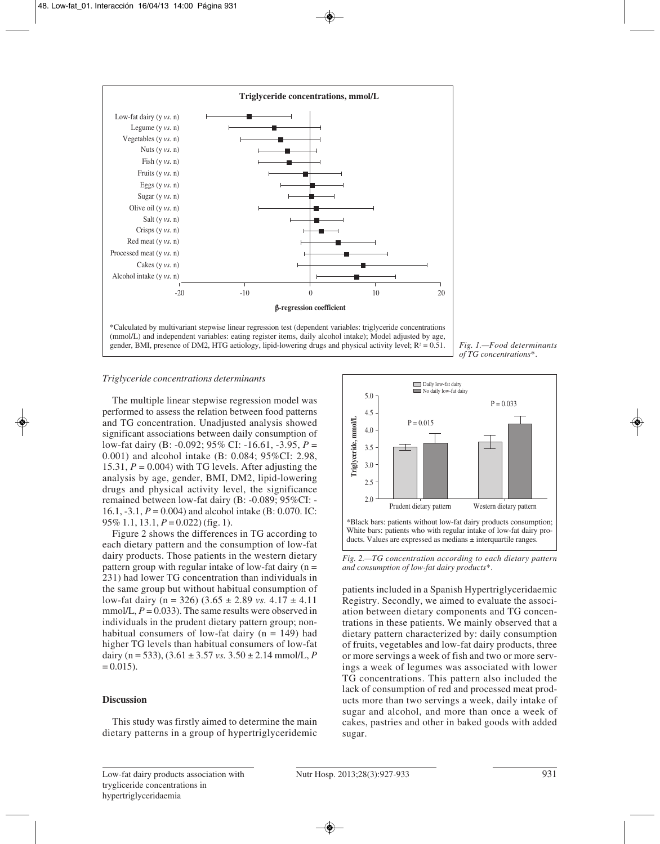

*Fig. 1.—Food determinants of TG concentrations\*.*

## *Triglyceride concentrations determinants*

The multiple linear stepwise regression model was performed to assess the relation between food patterns and TG concentration. Unadjusted analysis showed significant associations between daily consumption of low-fat dairy (B: -0.092; 95% CI: -16.61, -3.95, *P* = 0.001) and alcohol intake (B: 0.084; 95%CI: 2.98, 15.31,  $P = 0.004$ ) with TG levels. After adjusting the analysis by age, gender, BMI, DM2, lipid-lowering drugs and physical activity level, the significance remained between low-fat dairy (B: -0.089; 95%CI: - 16.1, -3.1, *P* = 0.004) and alcohol intake (B: 0.070. IC: 95% 1.1, 13.1, *P* = 0.022) (fig. 1).

Figure 2 shows the differences in TG according to each dietary pattern and the consumption of low-fat dairy products. Those patients in the western dietary pattern group with regular intake of low-fat dairy  $(n =$ 231) had lower TG concentration than individuals in the same group but without habitual consumption of low-fat dairy ( $n = 326$ ) ( $3.65 \pm 2.89$  *vs.*  $4.17 \pm 4.11$ mmol/L,  $P = 0.033$ ). The same results were observed in individuals in the prudent dietary pattern group; nonhabitual consumers of low-fat dairy  $(n = 149)$  had higher TG levels than habitual consumers of low-fat dairy (n = 533), (3.61 ± 3.57 *vs.* 3.50 ± 2.14 mmol/L, *P*  $= 0.015$ .

#### **Discussion**

This study was firstly aimed to determine the main dietary patterns in a group of hypertriglyceridemic



*Fig. 2.—TG concentration according to each dietary pattern and consumption of low-fat dairy products\*.*

patients included in a Spanish Hypertriglyceridaemic Registry. Secondly, we aimed to evaluate the association between dietary components and TG concentrations in these patients. We mainly observed that a dietary pattern characterized by: daily consumption of fruits, vegetables and low-fat dairy products, three or more servings a week of fish and two or more servings a week of legumes was associated with lower TG concentrations. This pattern also included the lack of consumption of red and processed meat products more than two servings a week, daily intake of sugar and alcohol, and more than once a week of cakes, pastries and other in baked goods with added sugar.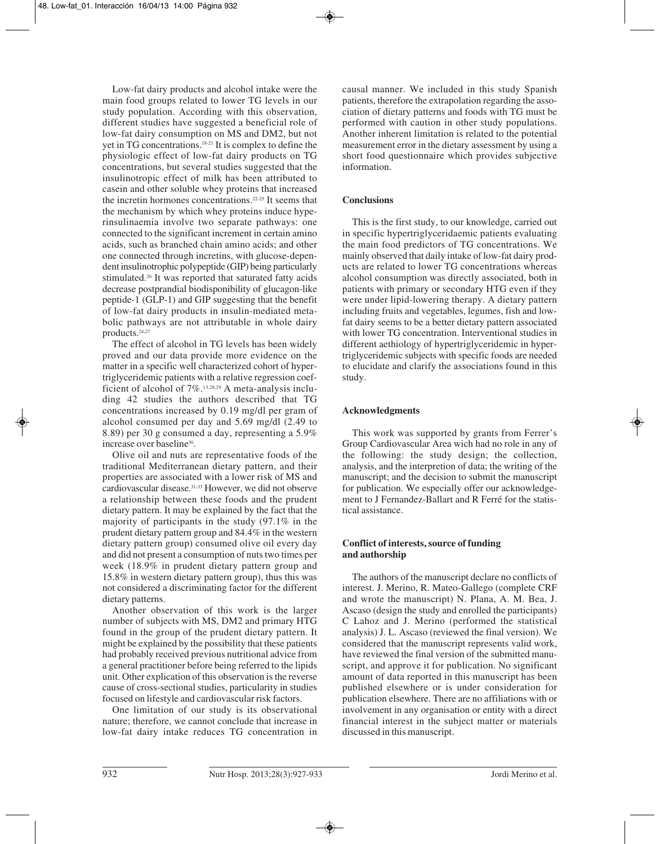Low-fat dairy products and alcohol intake were the main food groups related to lower TG levels in our study population. According with this observation, different studies have suggested a beneficial role of low-fat dairy consumption on MS and DM2, but not yet in TG concentrations.18-21 It is complex to define the physiologic effect of low-fat dairy products on TG concentrations, but several studies suggested that the insulinotropic effect of milk has been attributed to casein and other soluble whey proteins that increased the incretin hormones concentrations.22-25 It seems that the mechanism by which whey proteins induce hyperinsulinaemia involve two separate pathways: one connected to the significant increment in certain amino acids, such as branched chain amino acids; and other one connected through incretins, with glucose-dependent insulinotrophic polypeptide (GIP) being particularly stimulated.26 It was reported that saturated fatty acids decrease postprandial biodisponibility of glucagon-like peptide-1 (GLP-1) and GIP suggesting that the benefit of low-fat dairy products in insulin-mediated metabolic pathways are not attributable in whole dairy products.24,27

The effect of alcohol in TG levels has been widely proved and our data provide more evidence on the matter in a specific well characterized cohort of hypertriglyceridemic patients with a relative regression coefficient of alcohol of 7%.13,28,29 A meta-analysis including 42 studies the authors described that TG concentrations increased by 0.19 mg/dl per gram of alcohol consumed per day and 5.69 mg/dl (2.49 to 8.89) per 30 g consumed a day, representing a 5.9% increase over baseline<sup>30</sup>.

Olive oil and nuts are representative foods of the traditional Mediterranean dietary pattern, and their properties are associated with a lower risk of MS and cardiovascular disease.31-33 However, we did not observe a relationship between these foods and the prudent dietary pattern. It may be explained by the fact that the majority of participants in the study (97.1% in the prudent dietary pattern group and 84.4% in the western dietary pattern group) consumed olive oil every day and did not present a consumption of nuts two times per week (18.9% in prudent dietary pattern group and 15.8% in western dietary pattern group), thus this was not considered a discriminating factor for the different dietary patterns.

Another observation of this work is the larger number of subjects with MS, DM2 and primary HTG found in the group of the prudent dietary pattern. It might be explained by the possibility that these patients had probably received previous nutritional advice from a general practitioner before being referred to the lipids unit. Other explication of this observation is the reverse cause of cross-sectional studies, particularity in studies focused on lifestyle and cardiovascular risk factors.

One limitation of our study is its observational nature; therefore, we cannot conclude that increase in low-fat dairy intake reduces TG concentration in causal manner. We included in this study Spanish patients, therefore the extrapolation regarding the association of dietary patterns and foods with TG must be performed with caution in other study populations. Another inherent limitation is related to the potential measurement error in the dietary assessment by using a short food questionnaire which provides subjective information.

## **Conclusions**

This is the first study, to our knowledge, carried out in specific hypertriglyceridaemic patients evaluating the main food predictors of TG concentrations. We mainly observed that daily intake of low-fat dairy products are related to lower TG concentrations whereas alcohol consumption was directly associated, both in patients with primary or secondary HTG even if they were under lipid-lowering therapy. A dietary pattern including fruits and vegetables, legumes, fish and lowfat dairy seems to be a better dietary pattern associated with lower TG concentration. Interventional studies in different aethiology of hypertriglyceridemic in hypertriglyceridemic subjects with specific foods are needed to elucidate and clarify the associations found in this study.

## **Acknowledgments**

This work was supported by grants from Ferrer's Group Cardiovascular Area wich had no role in any of the following: the study design; the collection, analysis, and the interpretion of data; the writing of the manuscript; and the decision to submit the manuscript for publication. We especially offer our acknowledgement to J Fernandez-Ballart and R Ferré for the statistical assistance.

## **Conflict of interests, source of funding and authorship**

The authors of the manuscript declare no conflicts of interest. J. Merino, R. Mateo-Gallego (complete CRF and wrote the manuscript) N. Plana, A. M. Bea, J. Ascaso (design the study and enrolled the participants) C Lahoz and J. Merino (performed the statistical analysis) J. L. Ascaso (reviewed the final version). We considered that the manuscript represents valid work, have reviewed the final version of the submitted manuscript, and approve it for publication. No significant amount of data reported in this manuscript has been published elsewhere or is under consideration for publication elsewhere. There are no affiliations with or involvement in any organisation or entity with a direct financial interest in the subject matter or materials discussed in this manuscript.